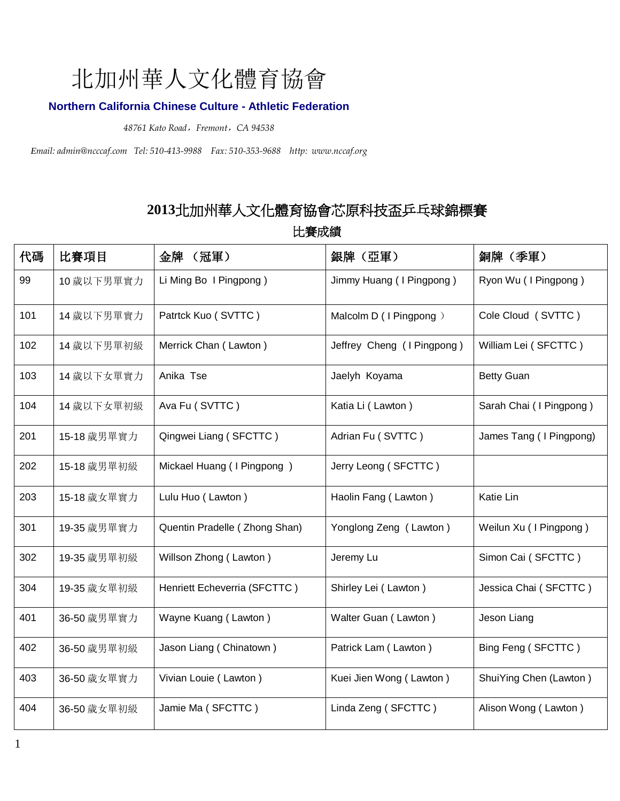## 北加州華人文化體育協會

### **Northern California Chinese Culture - Athletic Federation**

*48761 Kato Road*,*Fremont*,*CA 94538* 

*Email: admin@ncccaf.com Tel: 510-413-9988 Fax: 510-353-9688 http: www.nccaf.org*

## 北加州華人文化體育協會芯原科技盃乒乓球錦標賽

比賽成績

| 代碼  | 比賽項目        | 金牌<br>(冠軍)                    | 銀牌 (亞軍)                    | 銅牌 (季軍)                 |
|-----|-------------|-------------------------------|----------------------------|-------------------------|
| 99  | 10 歲以下男單實力  | Li Ming Bo I Pingpong)        | Jimmy Huang (I Pingpong)   | Ryon Wu (I Pingpong)    |
| 101 | 14 歲以下男單實力  | Patrtck Kuo (SVTTC)           | Malcolm D (I Pingpong)     | Cole Cloud (SVTTC)      |
| 102 | 14 歲以下男單初級  | Merrick Chan (Lawton)         | Jeffrey Cheng (I Pingpong) | William Lei (SFCTTC)    |
| 103 | 14 歲以下女單實力  | Anika Tse                     | Jaelyh Koyama              | <b>Betty Guan</b>       |
| 104 | 14 歲以下女單初級  | Ava Fu (SVTTC)                | Katia Li (Lawton)          | Sarah Chai (I Pingpong) |
| 201 | 15-18 歲男單實力 | Qingwei Liang (SFCTTC)        | Adrian Fu (SVTTC)          | James Tang (I Pingpong) |
| 202 | 15-18 歲男單初級 | Mickael Huang (I Pingpong)    | Jerry Leong (SFCTTC)       |                         |
| 203 | 15-18 歲女單實力 | Lulu Huo (Lawton)             | Haolin Fang (Lawton)       | Katie Lin               |
| 301 | 19-35 歲男單實力 | Quentin Pradelle (Zhong Shan) | Yonglong Zeng (Lawton)     | Weilun Xu (I Pingpong)  |
| 302 | 19-35 歲男單初級 | Willson Zhong (Lawton)        | Jeremy Lu                  | Simon Cai (SFCTTC)      |
| 304 | 19-35 歲女單初級 | Henriett Echeverria (SFCTTC)  | Shirley Lei (Lawton)       | Jessica Chai (SFCTTC)   |
| 401 | 36-50 歲男單實力 | Wayne Kuang (Lawton)          | Walter Guan (Lawton)       | Jeson Liang             |
| 402 | 36-50 歲男單初級 | Jason Liang (Chinatown)       | Patrick Lam (Lawton)       | Bing Feng (SFCTTC)      |
| 403 | 36-50 歲女單實力 | Vivian Louie (Lawton)         | Kuei Jien Wong (Lawton)    | ShuiYing Chen (Lawton)  |
| 404 | 36-50 歲女單初級 | Jamie Ma (SFCTTC)             | Linda Zeng (SFCTTC)        | Alison Wong (Lawton)    |